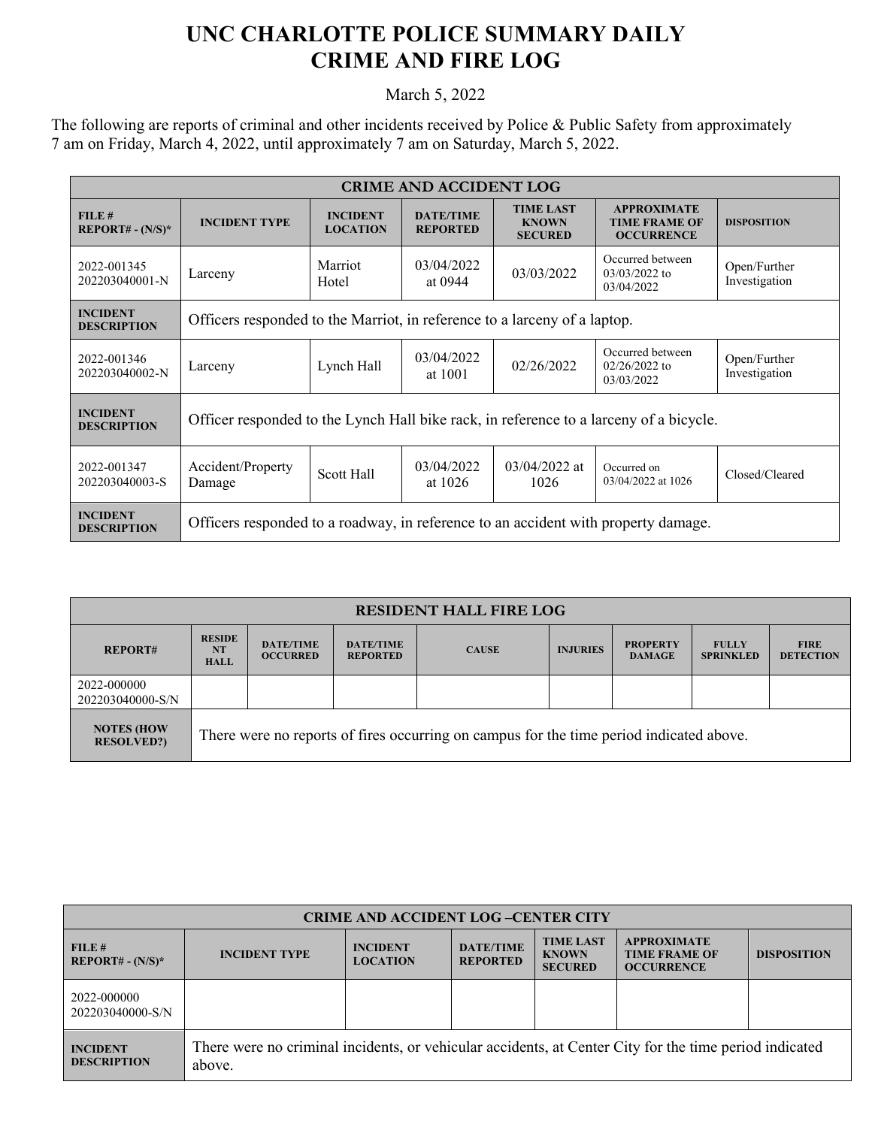## **UNC CHARLOTTE POLICE SUMMARY DAILY CRIME AND FIRE LOG**

March 5, 2022

The following are reports of criminal and other incidents received by Police & Public Safety from approximately 7 am on Friday, March 4, 2022, until approximately 7 am on Saturday, March 5, 2022.

| <b>CRIME AND ACCIDENT LOG</b>         |                                                                                        |                                    |                                     |                                                    |                                                                 |                               |  |  |
|---------------------------------------|----------------------------------------------------------------------------------------|------------------------------------|-------------------------------------|----------------------------------------------------|-----------------------------------------------------------------|-------------------------------|--|--|
| FILE#<br>$REPORT# - (N/S)*$           | <b>INCIDENT TYPE</b>                                                                   | <b>INCIDENT</b><br><b>LOCATION</b> | <b>DATE/TIME</b><br><b>REPORTED</b> | <b>TIME LAST</b><br><b>KNOWN</b><br><b>SECURED</b> | <b>APPROXIMATE</b><br><b>TIME FRAME OF</b><br><b>OCCURRENCE</b> | <b>DISPOSITION</b>            |  |  |
| 2022-001345<br>202203040001-N         | Larceny                                                                                | Marriot<br>Hotel                   | 03/04/2022<br>at 0944               | 03/03/2022                                         | Occurred between<br>$03/03/2022$ to<br>03/04/2022               | Open/Further<br>Investigation |  |  |
| <b>INCIDENT</b><br><b>DESCRIPTION</b> | Officers responded to the Marriot, in reference to a larceny of a laptop.              |                                    |                                     |                                                    |                                                                 |                               |  |  |
| 2022-001346<br>202203040002-N         | Larceny                                                                                | Lynch Hall                         | 03/04/2022<br>at 1001               | 02/26/2022                                         | Occurred between<br>$02/26/2022$ to<br>03/03/2022               | Open/Further<br>Investigation |  |  |
| <b>INCIDENT</b><br><b>DESCRIPTION</b> | Officer responded to the Lynch Hall bike rack, in reference to a larceny of a bicycle. |                                    |                                     |                                                    |                                                                 |                               |  |  |
| 2022-001347<br>202203040003-S         | Accident/Property<br>Damage                                                            | Scott Hall                         | 03/04/2022<br>at 1026               | $03/04/2022$ at<br>1026                            | Occurred on<br>03/04/2022 at 1026                               | Closed/Cleared                |  |  |
| <b>INCIDENT</b><br><b>DESCRIPTION</b> | Officers responded to a roadway, in reference to an accident with property damage.     |                                    |                                     |                                                    |                                                                 |                               |  |  |

| <b>RESIDENT HALL FIRE LOG</b>          |                                                                                         |                                     |                                     |              |                 |                                  |                                  |                                 |
|----------------------------------------|-----------------------------------------------------------------------------------------|-------------------------------------|-------------------------------------|--------------|-----------------|----------------------------------|----------------------------------|---------------------------------|
| <b>REPORT#</b>                         | <b>RESIDE</b><br><b>NT</b><br><b>HALL</b>                                               | <b>DATE/TIME</b><br><b>OCCURRED</b> | <b>DATE/TIME</b><br><b>REPORTED</b> | <b>CAUSE</b> | <b>INJURIES</b> | <b>PROPERTY</b><br><b>DAMAGE</b> | <b>FULLY</b><br><b>SPRINKLED</b> | <b>FIRE</b><br><b>DETECTION</b> |
| 2022-000000<br>202203040000-S/N        |                                                                                         |                                     |                                     |              |                 |                                  |                                  |                                 |
| <b>NOTES (HOW</b><br><b>RESOLVED?)</b> | There were no reports of fires occurring on campus for the time period indicated above. |                                     |                                     |              |                 |                                  |                                  |                                 |

| <b>CRIME AND ACCIDENT LOG-CENTER CITY</b> |                                                                                                                  |                                    |                                     |                                                    |                                                                 |                    |  |
|-------------------------------------------|------------------------------------------------------------------------------------------------------------------|------------------------------------|-------------------------------------|----------------------------------------------------|-----------------------------------------------------------------|--------------------|--|
| FILE#<br>$REPORT# - (N/S)*$               | <b>INCIDENT TYPE</b>                                                                                             | <b>INCIDENT</b><br><b>LOCATION</b> | <b>DATE/TIME</b><br><b>REPORTED</b> | <b>TIME LAST</b><br><b>KNOWN</b><br><b>SECURED</b> | <b>APPROXIMATE</b><br><b>TIME FRAME OF</b><br><b>OCCURRENCE</b> | <b>DISPOSITION</b> |  |
| 2022-000000<br>202203040000-S/N           |                                                                                                                  |                                    |                                     |                                                    |                                                                 |                    |  |
| <b>INCIDENT</b><br><b>DESCRIPTION</b>     | There were no criminal incidents, or vehicular accidents, at Center City for the time period indicated<br>above. |                                    |                                     |                                                    |                                                                 |                    |  |